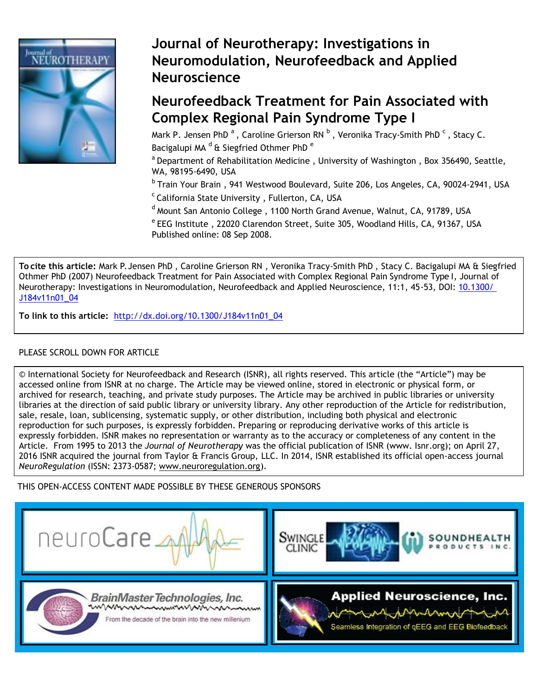

# **Journal of Neurotherapy: Investigations in Neuromodulation, Neurofeedback and Applied Neuroscience**

# **Neurofeedback Treatment for Pain Associated with Complex Regional Pain Syndrome Type I**

Mark P. Jensen PhD<sup>a</sup>, Caroline Grierson RN<sup>b</sup>, Veronika Tracy-Smith PhD<sup>c</sup>, Stacy C. Bacigalupi MA<sup>d</sup> & Siegfried Othmer PhD<sup>e</sup>

 $a$  Department of Rehabilitation Medicine, University of Washington, Box 356490, Seattle, WA, 98195-6490, USA

<sup>b</sup> Train Your Brain, 941 Westwood Boulevard, Suite 206, Los Angeles, CA, 90024-2941, USA

- $c$ California State University, Fullerton, CA, USA
- $d$  Mount San Antonio College, 1100 North Grand Avenue, Walnut, CA, 91789, USA

 $e^e$  EEG Institute, 22020 Clarendon Street, Suite 305, Woodland Hills, CA, 91367, USA Published online: 08 Sep 2008.

**To cite this article:** Mark P. Jensen PhD , Caroline Grierson RN , Veronika Tracy-Smith PhD , Stacy C. Bacigalupi MA & Siegfried Othmer PhD (2007) Neurofeedback Treatment for Pain Associated with Complex Regional Pain Syndrome Type I, Journal of Neurotherapy: Investigations in Neuromodulation, Neurofeedback and Applied Neuroscience, 11:1, 45-53, DOI: 10.1300/ J184v11n01\_04

**To link to this article:** [http://dx.doi.org/10.1300/J184v11n01\\_04](http://dx.doi.org/10.1300/J184v11n01_04)

# PLEASE SCROLL DOWN FOR ARTICLE

© International Society for Neurofeedback and Research (ISNR), all rights reserved. This article (the "Article") may be accessed online from ISNR at no charge. The Article may be viewed online, stored in electronic or physical form, or archived for research, teaching, and private study purposes. The Article may be archived in public libraries or university libraries at the direction of said public library or university library. Any other reproduction of the Article for redistribution, sale, resale, loan, sublicensing, systematic supply, or other distribution, including both physical and electronic reproduction for such purposes, is expressly forbidden. Preparing or reproducing derivative works of this article is expressly forbidden. ISNR makes no representation or warranty as to the accuracy or completeness of any content in the Article. From 1995 to 2013 the *Journal of Neurotherapy* was the official publication of ISNR (www. Isnr.org); on April 27, 2016 ISNR acquired the journal from Taylor & Francis Group, LLC. In 2014, ISNR established its official open-access journal *NeuroRegulation* (ISSN: 2373-0587; [www.neuroregulation.org\)](http://www.neuroregulation.org/).

THIS OPEN-ACCESS CONTENT MADE POSSIBLE BY THESE GENEROUS SPONSORS







BrainMasterTechnologies, Inc. mmmmmmmmmmm

From the decade of the brain into the new millenium

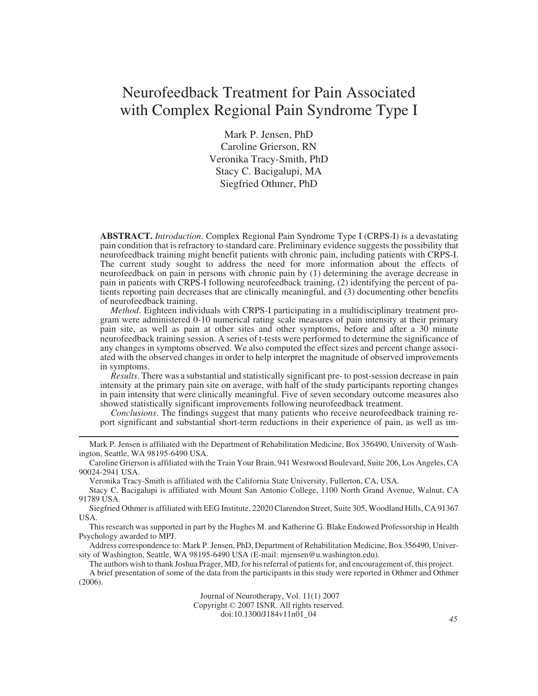# Neurofeedback Treatment for Pain Associated with Complex Regional Pain Syndrome Type I

Mark P. Jensen, PhD Caroline Grierson, RN Veronika Tracy-Smith, PhD Stacy C. Bacigalupi, MA Siegfried Othmer, PhD

**ABSTRACT.** *Introduction*. Complex Regional Pain Syndrome Type I (CRPS-I) is a devastating pain condition that is refractory to standard care. Preliminary evidence suggests the possibility that neurofeedback training might benefit patients with chronic pain, including patients with CRPS-I. The current study sought to address the need for more information about the effects of neurofeedback on pain in persons with chronic pain by (1) determining the average decrease in pain in patients with CRPS-I following neurofeedback training, (2) identifying the percent of patients reporting pain decreases that are clinically meaningful, and (3) documenting other benefits of neurofeedback training.

*Method*. Eighteen individuals with CRPS-I participating in a multidisciplinary treatment program were administered 0-10 numerical rating scale measures of pain intensity at their primary pain site, as well as pain at other sites and other symptoms, before and after a 30 minute neurofeedback training session. A series of t-tests were performed to determine the significance of any changes in symptoms observed. We also computed the effect sizes and percent change associated with the observed changes in order to help interpret the magnitude of observed improvements in symptoms.

*Results*. There was a substantial and statistically significant pre- to post-session decrease in pain intensity at the primary pain site on average, with half of the study participants reporting changes in pain intensity that were clinically meaningful. Five of seven secondary outcome measures also showed statistically significant improvements following neurofeedback treatment.

*Conclusions*. The findings suggest that many patients who receive neurofeedback training report significant and substantial short-term reductions in their experience of pain, as well as im-

Mark P. Jensen is affiliated with the Department of Rehabilitation Medicine, Box 356490, University of Washington, Seattle, WA 98195-6490 USA.

Caroline Grierson is affiliated with the Train Your Brain, 941 Westwood Boulevard, Suite 206, Los Angeles, CA 90024-2941 USA.

Veronika Tracy-Smith is affiliated with the California State University, Fullerton, CA, USA.

Stacy C. Bacigalupi is affiliated with Mount San Antonio College, 1100 North Grand Avenue, Walnut, CA 91789 USA.

Siegfried Othmer is affiliated with EEG Institute, 22020 Clarendon Street, Suite 305, Woodland Hills, CA 91367 USA.

This research was supported in part by the Hughes M. and Katherine G. Blake Endowed Professorship in Health Psychology awarded to MPJ.

Address correspondence to: Mark P.Jensen, PhD, Department of Rehabilitation Medicine, Box 356490, University of Washington, Seattle, WA 98195-6490 USA (E-mail: mjensen@u.washington.edu).

The authors wish to thank Joshua Prager, MD, for his referral of patients for, and encouragement of, this project. A brief presentation of some of the data from the participants in this study were reported in Othmer and Othmer (2006).

> Journal of Neurotherapy, Vol. 11(1) 2007 Copyright © 2007 ISNR. All rights reserved. doi:10.1300/J184v11n01\_04 *<sup>45</sup>*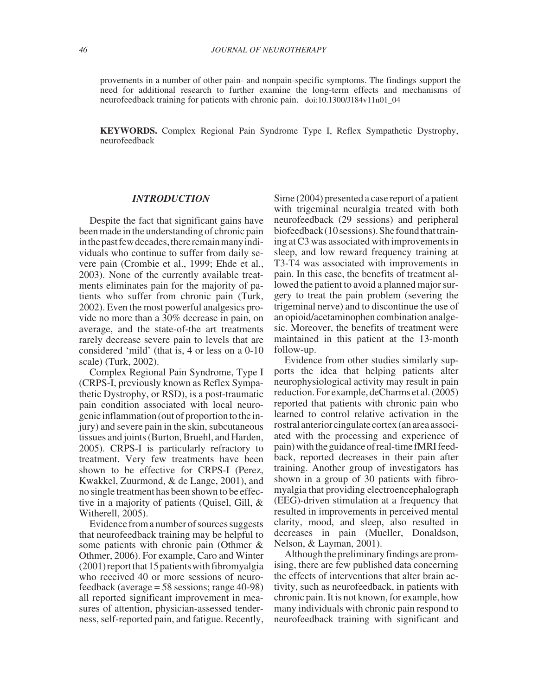provements in a number of other pain- and nonpain-specific symptoms. The findings support the need for additional research to further examine the long-term effects and mechanisms of neurofeedback training for patients with chronic pain. doi:10.1300/J184v11n01\_04

**KEYWORDS.** Complex Regional Pain Syndrome Type I, Reflex Sympathetic Dystrophy, neurofeedback

#### *INTRODUCTION*

Despite the fact that significant gains have been made in the understanding of chronic pain in the past few decades, there remain many individuals who continue to suffer from daily severe pain (Crombie et al., 1999; Ehde et al., 2003). None of the currently available treatments eliminates pain for the majority of patients who suffer from chronic pain (Turk, 2002). Even the most powerful analgesics provide no more than a 30% decrease in pain, on average, and the state-of-the art treatments rarely decrease severe pain to levels that are considered 'mild' (that is, 4 or less on a 0-10 scale) (Turk, 2002).

Complex Regional Pain Syndrome, Type I (CRPS-I, previously known as Reflex Sympathetic Dystrophy, or RSD), is a post-traumatic pain condition associated with local neurogenic inflammation(out of proportion to the injury) and severe pain in the skin, subcutaneous tissues and joints (Burton, Bruehl, and Harden, 2005). CRPS-I is particularly refractory to treatment. Very few treatments have been shown to be effective for CRPS-I (Perez, Kwakkel, Zuurmond, & de Lange, 2001), and no single treatment has been shown to be effective in a majority of patients (Quisel, Gill, & Witherell, 2005).

Evidence from a number of sources suggests that neurofeedback training may be helpful to some patients with chronic pain (Othmer & Othmer, 2006). For example, Caro and Winter  $(2001)$  report that 15 patients with fibromyalgia who received 40 or more sessions of neurofeedback (average = 58 sessions; range 40-98) all reported significant improvement in measures of attention, physician-assessed tenderness, self-reported pain, and fatigue. Recently,

Sime (2004) presented a case report of a patient with trigeminal neuralgia treated with both neurofeedback (29 sessions) and peripheral biofeedback (10 sessions). She found that training at C3 was associated with improvements in sleep, and low reward frequency training at T3-T4 was associated with improvements in pain. In this case, the benefits of treatment allowed the patient to avoid a planned major surgery to treat the pain problem (severing the trigeminal nerve) and to discontinue the use of an opioid/acetaminophen combination analgesic. Moreover, the benefits of treatment were maintained in this patient at the 13-month follow-up.

Evidence from other studies similarly supports the idea that helping patients alter neurophysiological activity may result in pain reduction. For example, deCharms et al. (2005) reported that patients with chronic pain who learned to control relative activation in the rostralanteriorcingulatecortex(anareaassociated with the processing and experience of pain) with the guidance of real-time fMRI feedback, reported decreases in their pain after training. Another group of investigators has shown in a group of 30 patients with fibromyalgia that providing electroencephalograph (EEG)-driven stimulation at a frequency that resulted in improvements in perceived mental clarity, mood, and sleep, also resulted in decreases in pain (Mueller, Donaldson, Nelson, & Layman, 2001).

Although the preliminary findings are promising, there are few published data concerning the effects of interventions that alter brain activity, such as neurofeedback, in patients with chronic pain. It is not known, for example, how many individuals with chronic pain respond to neurofeedback training with significant and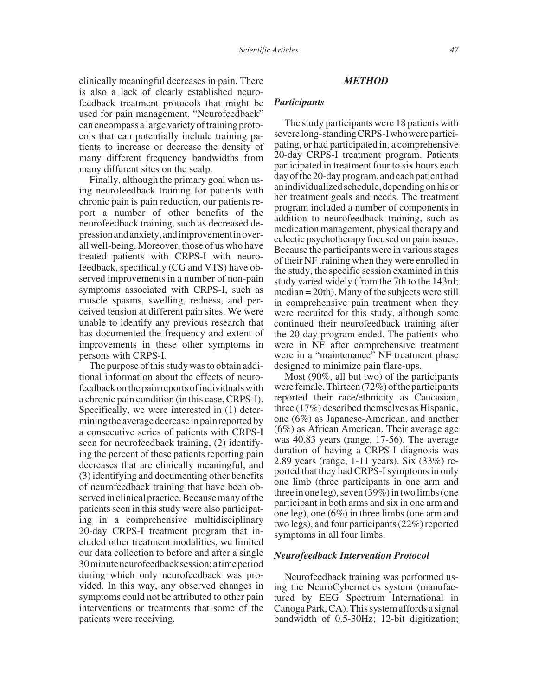clinically meaningful decreases in pain. There is also a lack of clearly established neurofeedback treatment protocols that might be used for pain management. "Neurofeedback" can encompass a large variety of training protocols that can potentially include training patients to increase or decrease the density of many different frequency bandwidths from many different sites on the scalp.

Finally, although the primary goal when using neurofeedback training for patients with chronic pain is pain reduction, our patients report a number of other benefits of the neurofeedback training, such as decreased depressionandanxiety,andimprovementinoverall well-being. Moreover, those of us who have treated patients with CRPS-I with neurofeedback, specifically (CG and VTS) have observed improvements in a number of non-pain symptoms associated with CRPS-I, such as muscle spasms, swelling, redness, and perceived tension at different pain sites. We were unable to identify any previous research that has documented the frequency and extent of improvements in these other symptoms in persons with CRPS-I.

The purpose of this study was to obtain additional information about the effects of neurofeedback on the pain reports of individuals with a chronic pain condition (in this case, CRPS-I). Specifically, we were interested in (1) determining the average decrease in pain reported by a consecutive series of patients with CRPS-I seen for neurofeedback training, (2) identifying the percent of these patients reporting pain decreases that are clinically meaningful, and (3) identifying and documenting other benefits of neurofeedback training that have been observed in clinical practice. Because many of the patients seen in this study were also participating in a comprehensive multidisciplinary 20-day CRPS-I treatment program that included other treatment modalities, we limited our data collection to before and after a single 30minuteneurofeedbacksession;atimeperiod during which only neurofeedback was provided. In this way, any observed changes in symptoms could not be attributed to other pain interventions or treatments that some of the patients were receiving.

#### *METHOD*

### *Participants*

The study participants were 18 patients with severelong-standingCRPS-Iwhowereparticipating, or had participated in, a comprehensive 20-day CRPS-I treatment program. Patients participated in treatment four to six hours each dayofthe20-dayprogram,andeachpatienthad an individualized schedule, depending on his or her treatment goals and needs. The treatment program included a number of components in addition to neurofeedback training, such as medication management, physical therapy and eclectic psychotherapy focused on pain issues. Because the participants were in various stages of their NF training when they were enrolled in the study, the specific session examined in this study varied widely (from the 7th to the 143rd; median = 20th). Many of the subjects were still in comprehensive pain treatment when they were recruited for this study, although some continued their neurofeedback training after the 20-day program ended. The patients who were in NF after comprehensive treatment were in a "maintenance" NF treatment phase designed to minimize pain flare-ups.

Most (90%, all but two) of the participants were female. Thirteen  $(72%)$  of the participants reported their race/ethnicity as Caucasian, three (17%) described themselves as Hispanic, one (6%) as Japanese-American, and another (6%) as African American. Their average age was 40.83 years (range, 17-56). The average duration of having a CRPS-I diagnosis was 2.89 years (range, 1-11 years). Six (33%) reported that they had CRPS-I symptoms in only one limb (three participants in one arm and three in one leg), seven (39%) in two limbs (one participant in both arms and six in one arm and one leg), one (6%) in three limbs (one arm and two legs), and four participants (22%) reported symptoms in all four limbs.

#### *Neurofeedback Intervention Protocol*

Neurofeedback training was performed using the NeuroCybernetics system (manufactured by EEG Spectrum International in Canoga Park, CA). This system affords a signal bandwidth of 0.5-30Hz; 12-bit digitization;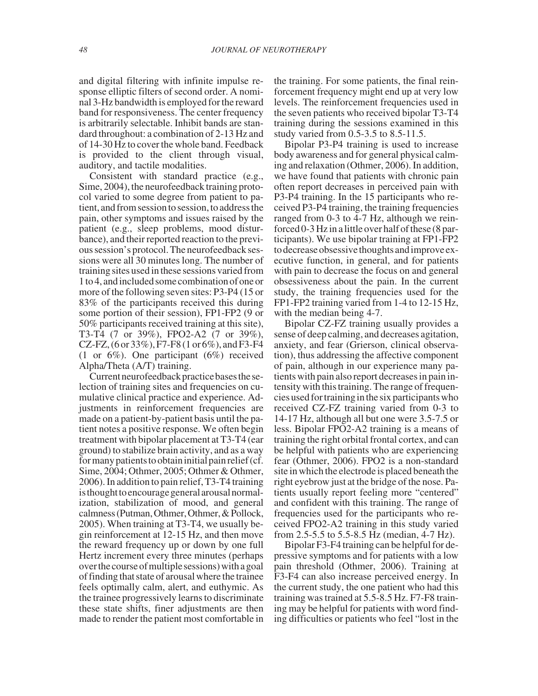and digital filtering with infinite impulse response elliptic filters of second order. A nominal 3-Hz bandwidth is employed for the reward band for responsiveness. The center frequency is arbitrarily selectable. Inhibit bands are standard throughout: a combination of 2-13 Hz and of 14-30 Hz to cover the whole band. Feedback is provided to the client through visual, auditory, and tactile modalities.

Consistent with standard practice (e.g., Sime, 2004), the neurofeedback training protocol varied to some degree from patient to patient,and from session to session, to address the pain, other symptoms and issues raised by the patient (e.g., sleep problems, mood disturbance), and their reported reaction to the previous session's protocol. The neurofeedback sessions were all 30 minutes long. The number of training sites used in these sessions varied from 1 to 4, and includedsome combinationof one or more of the following seven sites: P3-P4 (15 or 83% of the participants received this during some portion of their session), FP1-FP2 (9 or 50% participants received training at this site), T3-T4 (7 or 39%), FPO2-A2 (7 or 39%), CZ-FZ,  $(6 \text{ or } 33\%)$ , F7-F8  $(1 \text{ or } 6\%)$ , and F3-F4 (1 or 6%). One participant (6%) received Alpha/Theta (A/T) training.

Current neurofeedback practice bases the selection of training sites and frequencies on cumulative clinical practice and experience. Adjustments in reinforcement frequencies are made on a patient-by-patient basis until the patient notes a positive response. We often begin treatment with bipolar placement at T3-T4 (ear ground) to stabilize brain activity, and as a way for many patients to obtain initial pain relief  $(cf.$ Sime, 2004; Othmer, 2005; Othmer & Othmer, 2006). In addition to pain relief, T3-T4 training is thought to encourage general arousal normalization, stabilization of mood, and general calmness (Putman, Othmer, Othmer, & Pollock, 2005). When training at T3-T4, we usually begin reinforcement at 12-15 Hz, and then move the reward frequency up or down by one full Hertz increment every three minutes (perhaps over the course of multiple sessions) with a goal of finding that state of arousal where the trainee feels optimally calm, alert, and euthymic. As the trainee progressively learns to discriminate these state shifts, finer adjustments are then made to render the patient most comfortable in

the training. For some patients, the final reinforcement frequency might end up at very low levels. The reinforcement frequencies used in the seven patients who received bipolar T3-T4 training during the sessions examined in this study varied from 0.5-3.5 to 8.5-11.5.

Bipolar P3-P4 training is used to increase body awareness and for general physical calming and relaxation (Othmer, 2006). In addition, we have found that patients with chronic pain often report decreases in perceived pain with P3-P4 training. In the 15 participants who received P3-P4 training, the training frequencies ranged from 0-3 to 4-7 Hz, although we reinforced 0-3 Hz in a little over half of these (8 participants). We use bipolar training at FP1-FP2 to decrease obsessive thoughts and improve executive function, in general, and for patients with pain to decrease the focus on and general obsessiveness about the pain. In the current study, the training frequencies used for the FP1-FP2 training varied from 1-4 to 12-15 Hz, with the median being 4-7.

Bipolar CZ-FZ training usually provides a sense of deep calming, and decreases agitation, anxiety, and fear (Grierson, clinical observation), thus addressing the affective component of pain, although in our experience many patients with pain also report decreases in pain intensity with this training. The range of frequencies used for training in the six participantswho received CZ-FZ training varied from 0-3 to 14-17 Hz, although all but one were 3.5-7.5 or less. Bipolar FPO2-A2 training is a means of training the right orbital frontal cortex, and can be helpful with patients who are experiencing fear (Othmer, 2006). FPO2 is a non-standard site in which the electrode is placed beneath the right eyebrow just at the bridge of the nose. Patients usually report feeling more "centered" and confident with this training. The range of frequencies used for the participants who received FPO2-A2 training in this study varied from 2.5-5.5 to 5.5-8.5 Hz (median, 4-7 Hz).

Bipolar F3-F4 training can be helpful for depressive symptoms and for patients with a low pain threshold (Othmer, 2006). Training at F3-F4 can also increase perceived energy. In the current study, the one patient who had this training was trained at 5.5-8.5 Hz. F7-F8 training may be helpful for patients with word finding difficulties or patients who feel "lost in the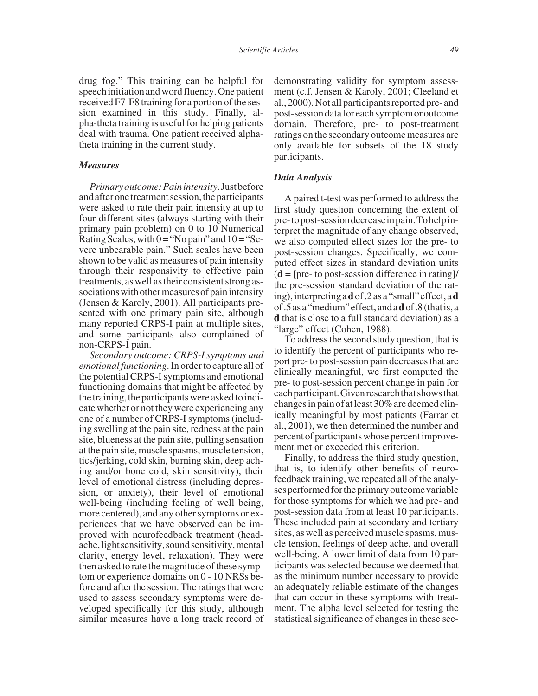drug fog." This training can be helpful for speech initiation and word fluency. One patient received F7-F8 training for a portion of the session examined in this study. Finally, alpha-theta training is useful for helping patients deal with trauma. One patient received alphatheta training in the current study.

#### *Measures*

*Primaryoutcome:Painintensity*.Justbefore and after one treatment session, the participants were asked to rate their pain intensity at up to four different sites (always starting with their primary pain problem) on 0 to 10 Numerical Rating Scales, with  $0 = "No pain"$  and  $10 = "Se$ vere unbearable pain." Such scales have been shown to be valid as measures of pain intensity through their responsivity to effective pain treatments, as well as their consistent strong associations with other measures of pain intensity (Jensen & Karoly, 2001). All participants presented with one primary pain site, although many reported CRPS-I pain at multiple sites, and some participants also complained of non-CRPS-I pain.

*Secondary outcome: CRPS-I symptoms and emotional functioning*. In order to capture all of the potential CRPS-I symptoms and emotional functioning domains that might be affected by the training, the participantswere asked to indicate whether or not they were experiencing any one of a number of CRPS-I symptoms (including swelling at the pain site, redness at the pain site, blueness at the pain site, pulling sensation at the pain site, muscle spasms, muscle tension, tics/jerking, cold skin, burning skin, deep aching and/or bone cold, skin sensitivity), their level of emotional distress (including depression, or anxiety), their level of emotional well-being (including feeling of well being, more centered), and any other symptoms or experiences that we have observed can be improved with neurofeedback treatment (headache, light sensitivity, sound sensitivity, mental clarity, energy level, relaxation). They were then asked to rate the magnitude of these symptom or experience domains on 0 - 10 NRSs before and after the session. The ratings that were used to assess secondary symptoms were developed specifically for this study, although similar measures have a long track record of demonstrating validity for symptom assessment (c.f. Jensen & Karoly, 2001; Cleeland et al., 2000). Not all participantsreported pre- and post-sessiondataforeachsymptomoroutcome domain. Therefore, pre- to post-treatment ratings on the secondary outcome measures are only available for subsets of the 18 study participants.

#### *Data Analysis*

A paired t-test was performed to address the first study question concerning the extent of pre-topost-sessiondecreaseinpain.Tohelpinterpret the magnitude of any change observed, we also computed effect sizes for the pre- to post-session changes. Specifically, we computed effect sizes in standard deviation units  $(d = [pre-to post-session difference in rating]$ the pre-session standard deviation of the rating),interpretinga**d**of.2asa"small"effect,a**d** of.5asa"medium"effect,anda**d**of.8(thatis,a **d** that is close to a full standard deviation) as a "large" effect (Cohen, 1988).

To address the second study question, that is to identify the percent of participants who report pre- to post-session pain decreases that are clinically meaningful, we first computed the pre- to post-session percent change in pain for eachparticipant.Givenresearchthatshowsthat changes in pain of at least 30% are deemed clinically meaningful by most patients (Farrar et al., 2001), we then determined the number and percent of participants whose percent improvement met or exceeded this criterion.

Finally, to address the third study question, that is, to identify other benefits of neurofeedback training, we repeated all of the analyses performed for the primary outcome variable for those symptoms for which we had pre- and post-session data from at least 10 participants. These included pain at secondary and tertiary sites, as well as perceived muscle spasms, muscle tension, feelings of deep ache, and overall well-being. A lower limit of data from 10 participants was selected because we deemed that as the minimum number necessary to provide an adequately reliable estimate of the changes that can occur in these symptoms with treatment. The alpha level selected for testing the statistical significance of changes in these sec-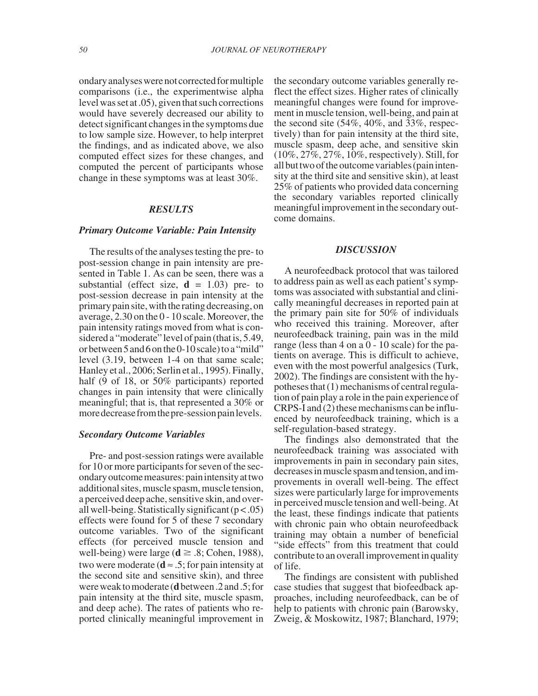ondaryanalyseswerenotcorrectedformultiple comparisons (i.e., the experimentwise alpha level was set at .05), given that such corrections would have severely decreased our ability to detect significant changes in the symptoms due to low sample size. However, to help interpret the findings, and as indicated above, we also computed effect sizes for these changes, and computed the percent of participants whose change in these symptoms was at least 30%.

## *RESULTS*

#### *Primary Outcome Variable: Pain Intensity*

The results of the analyses testing the pre- to post-session change in pain intensity are presented in Table 1. As can be seen, there was a substantial (effect size,  $\mathbf{d} = 1.03$ ) pre- to post-session decrease in pain intensity at the primarypain site, with the ratingdecreasing,on average, 2.30 on the 0 - 10 scale. Moreover, the pain intensity ratings moved from what is considered a "moderate" level of pain (that is, 5.49, orbetween 5 and 6 on the 0-10 scale) to a "mild" level (3.19, between 1-4 on that same scale; Hanley et al., 2006; Serlin et al., 1995). Finally, half (9 of 18, or 50% participants) reported changes in pain intensity that were clinically meaningful; that is, that represented a 30% or more decrease from the pre-session pain levels.

### *Secondary Outcome Variables*

Pre- and post-session ratings were available for 10 or more participants for seven of the secondaryoutcomemeasures:painintensityattwo additional sites, muscle spasm, muscle tension, a perceived deep ache, sensitive skin, and overall well-being. Statistically significant  $(p < .05)$ effects were found for 5 of these 7 secondary outcome variables. Two of the significant effects (for perceived muscle tension and well-being) were large  $(d \ge .8; \text{Cohen}, 1988)$ , two were moderate ( $\mathbf{d} \approx .5$ ; for pain intensity at the second site and sensitive skin), and three wereweaktomoderate(**d**between.2and.5;for pain intensity at the third site, muscle spasm, and deep ache). The rates of patients who reported clinically meaningful improvement in

the secondary outcome variables generally reflect the effect sizes. Higher rates of clinically meaningful changes were found for improvement in muscle tension, well-being, and pain at the second site (54%, 40%, and 33%, respectively) than for pain intensity at the third site, muscle spasm, deep ache, and sensitive skin (10%, 27%, 27%, 10%, respectively). Still, for all but two of the outcome variables (pain intensity at the third site and sensitive skin), at least 25% of patients who provided data concerning the secondary variables reported clinically meaningful improvement in the secondary outcome domains.

#### *DISCUSSION*

A neurofeedback protocol that was tailored to address pain as well as each patient's symptoms was associated with substantial and clinically meaningful decreases in reported pain at the primary pain site for 50% of individuals who received this training. Moreover, after neurofeedback training, pain was in the mild range (less than 4 on a 0 - 10 scale) for the patients on average. This is difficult to achieve, even with the most powerful analgesics (Turk, 2002). The findings are consistent with the hypotheses that (1) mechanisms of central regulation of pain play a role in the pain experience of CRPS-I and (2) these mechanisms can be influenced by neurofeedback training, which is a self-regulation-based strategy.

The findings also demonstrated that the neurofeedback training was associated with improvements in pain in secondary pain sites, decreases in muscle spasm and tension, and improvements in overall well-being. The effect sizes were particularly large for improvements in perceived muscle tension and well-being. At the least, these findings indicate that patients with chronic pain who obtain neurofeedback training may obtain a number of beneficial "side effects" from this treatment that could contribute to an overall improvement in quality of life.

The findings are consistent with published case studies that suggest that biofeedback approaches, including neurofeedback, can be of help to patients with chronic pain (Barowsky, Zweig, & Moskowitz, 1987; Blanchard, 1979;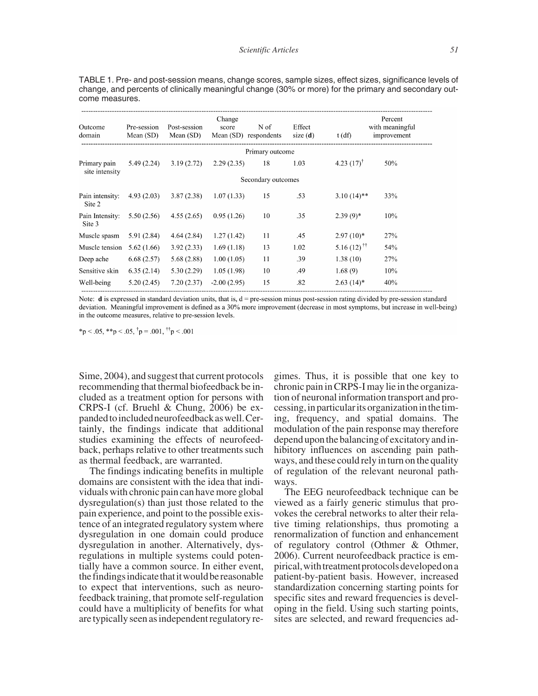TABLE 1. Pre- and post-session means, change scores, sample sizes, effect sizes, significance levels of change, and percents of clinically meaningful change (30% or more) for the primary and secondary outcome measures.

| Outcome<br>domain              | Pre-session<br>Mean (SD) | Post-session<br>Mean (SD) | Change<br>score | N of<br>Mean (SD) respondents | Effect<br>size(d) | $t$ (df)                  | Percent<br>with meaningful<br>improvement |
|--------------------------------|--------------------------|---------------------------|-----------------|-------------------------------|-------------------|---------------------------|-------------------------------------------|
|                                |                          |                           |                 | Primary outcome               |                   |                           |                                           |
| Primary pain<br>site intensity | 5.49(2.24)               | 3.19(2.72)                | 2.29(2.35)      | 18                            | 1.03              | 4.23 $(17)^{\dagger}$     | 50%                                       |
|                                |                          |                           |                 | Secondary outcomes            |                   |                           |                                           |
| Pain intensity:<br>Site 2      | 4.93(2.03)               | 3.87(2.38)                | 1.07(1.33)      | 15                            | .53               | $3.10(14)$ **             | 33%                                       |
| Pain Intensity:<br>Site 3      | 5.50(2.56)               | 4.55(2.65)                | 0.95(1.26)      | 10                            | .35               | $2.39(9)*$                | 10%                                       |
| Muscle spasm                   | 5.91(2.84)               | 4.64(2.84)                | 1.27(1.42)      | 11                            | .45               | $2.97(10)*$               | 27%                                       |
| Muscle tension                 | 5.62(1.66)               | 3.92(2.33)                | 1.69(1.18)      | 13                            | 1.02              | 5.16 $(12)$ <sup>††</sup> | 54%                                       |
| Deep ache                      | 6.68(2.57)               | 5.68(2.88)                | 1.00(1.05)      | 11                            | .39               | 1.38(10)                  | 27%                                       |
| Sensitive skin                 | 6.35(2.14)               | 5.30(2.29)                | 1.05(1.98)      | 10                            | .49               | 1.68(9)                   | 10%                                       |
| Well-being                     | 5.20(2.45)               | 7.20(2.37)                | $-2.00(2.95)$   | 15                            | .82               | $2.63(14)^*$              | 40%                                       |

Note:  $\bf{d}$  is expressed in standard deviation units, that is,  $\bf{d}$  = pre-session minus post-session rating divided by pre-session standard deviation. Meaningful improvement is defined as a 30% more improvement (decrease in most symptoms, but increase in well-being) in the outcome measures, relative to pre-session levels.

\*p < .05, \*\*p < .05,  $\tau$  = .001,  $\tau$  = .001

Sime, 2004), and suggest that current protocols recommending that thermal biofeedback be included as a treatment option for persons with CRPS-I (cf. Bruehl & Chung, 2006) be expanded to included neurofeedback as well. Certainly, the findings indicate that additional studies examining the effects of neurofeedback, perhaps relative to other treatments such as thermal feedback, are warranted.

The findings indicating benefits in multiple domains are consistent with the idea that individuals with chronic pain can have more global dysregulation(s) than just those related to the pain experience, and point to the possible existence of an integrated regulatory system where dysregulation in one domain could produce dysregulation in another. Alternatively, dysregulations in multiple systems could potentially have a common source. In either event, the findings indicate that it would be reasonable to expect that interventions, such as neurofeedback training, that promote self-regulation could have a multiplicity of benefits for what are typically seen as independent regulatory regimes. Thus, it is possible that one key to chronic pain in CRPS-I may lie in the organization of neuronal information transport and processing, in particular its organization in the timing, frequency, and spatial domains. The modulation of the pain response may therefore depend upon the balancingof excitatoryand inhibitory influences on ascending pain pathways, and these could rely in turn on the quality of regulation of the relevant neuronal pathways.

The EEG neurofeedback technique can be viewed as a fairly generic stimulus that provokes the cerebral networks to alter their relative timing relationships, thus promoting a renormalization of function and enhancement of regulatory control (Othmer & Othmer, 2006). Current neurofeedback practice is empirical, with treatment protocols developed on a patient-by-patient basis. However, increased standardization concerning starting points for specific sites and reward frequencies is developing in the field. Using such starting points, sites are selected, and reward frequencies ad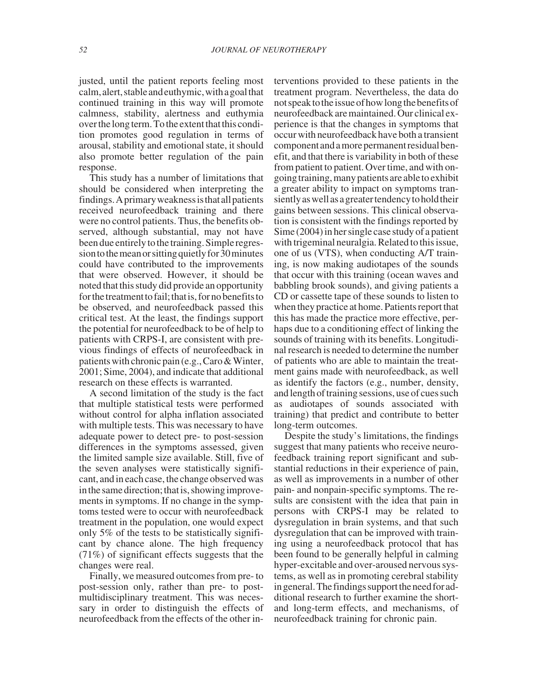justed, until the patient reports feeling most calm, alert, stable and euthymic, with a goal that continued training in this way will promote calmness, stability, alertness and euthymia over the long term. To the extent that this condition promotes good regulation in terms of arousal, stability and emotional state, it should also promote better regulation of the pain response.

This study has a number of limitations that should be considered when interpreting the findings.Aprimaryweaknessisthatallpatients received neurofeedback training and there were no control patients. Thus, the benefits observed, although substantial, may not have been due entirely to the training. Simple regression to the mean or sitting quietly for 30 minutes could have contributed to the improvements that were observed. However, it should be noted that this study did provide an opportunity for the treatment to fail: that is, for no benefits to be observed, and neurofeedback passed this critical test. At the least, the findings support the potential for neurofeedback to be of help to patients with CRPS-I, are consistent with previous findings of effects of neurofeedback in patients with chronic pain (e.g., Caro & Winter, 2001; Sime, 2004), and indicate that additional research on these effects is warranted.

A second limitation of the study is the fact that multiple statistical tests were performed without control for alpha inflation associated with multiple tests. This was necessary to have adequate power to detect pre- to post-session differences in the symptoms assessed, given the limited sample size available. Still, five of the seven analyses were statistically significant, and in each case, the change observed was in the same direction; that is, showing improvements in symptoms. If no change in the symptoms tested were to occur with neurofeedback treatment in the population, one would expect only 5% of the tests to be statistically significant by chance alone. The high frequency (71%) of significant effects suggests that the changes were real.

Finally, we measured outcomes from pre- to post-session only, rather than pre- to postmultidisciplinary treatment. This was necessary in order to distinguish the effects of neurofeedback from the effects of the other interventions provided to these patients in the treatment program. Nevertheless, the data do notspeaktotheissueofhowlongthebenefitsof neurofeedback are maintained. Our clinical experience is that the changes in symptoms that occur with neurofeedback have both a transient componentandamorepermanentresidualbenefit, and that there is variability in both of these from patient to patient. Over time, and with ongoing training, many patients are able to exhibit a greater ability to impact on symptoms transiently as well as a greater tendency to hold their gains between sessions. This clinical observation is consistent with the findings reported by Sime (2004) in her single case study of a patient with trigeminal neuralgia. Related to this issue, one of us (VTS), when conducting A/T training, is now making audiotapes of the sounds that occur with this training (ocean waves and babbling brook sounds), and giving patients a CD or cassette tape of these sounds to listen to when they practice at home. Patients report that this has made the practice more effective, perhaps due to a conditioning effect of linking the sounds of training with its benefits. Longitudinal research is needed to determine the number of patients who are able to maintain the treatment gains made with neurofeedback, as well as identify the factors (e.g., number, density, and length of training sessions, use of cues such as audiotapes of sounds associated with training) that predict and contribute to better long-term outcomes.

Despite the study's limitations, the findings suggest that many patients who receive neurofeedback training report significant and substantial reductions in their experience of pain, as well as improvements in a number of other pain- and nonpain-specific symptoms. The results are consistent with the idea that pain in persons with CRPS-I may be related to dysregulation in brain systems, and that such dysregulation that can be improved with training using a neurofeedback protocol that has been found to be generally helpful in calming hyper-excitable and over-aroused nervous systems, as well as in promoting cerebral stability in general. The findings support the need for additional research to further examine the shortand long-term effects, and mechanisms, of neurofeedback training for chronic pain.